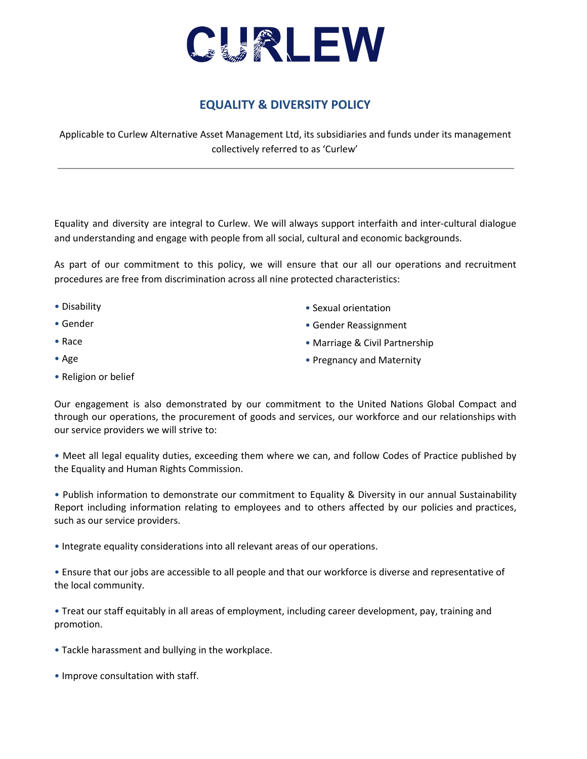

## **EQUALITY & DIVERSITY POLICY**

Applicable to Curlew Alternative Asset Management Ltd, its subsidiaries and funds under its management collectively referred to as 'Curlew'

Equality and diversity are integral to Curlew. We will always support interfaith and inter-cultural dialogue and understanding and engage with people from all social, cultural and economic backgrounds.

As part of our commitment to this policy, we will ensure that our all our operations and recruitment procedures are free from discrimination across all nine protected characteristics:

- Disability
- Gender
- Race
- Age
- Religion or belief
- Sexual orientation
- Gender Reassignment
- Marriage & Civil Partnership
- Pregnancy and Maternity

Our engagement is also demonstrated by our commitment to the United Nations Global Compact and through our operations, the procurement of goods and services, our workforce and our relationships with our service providers we will strive to:

• Meet all legal equality duties, exceeding them where we can, and follow Codes of Practice published by the Equality and Human Rights Commission.

• Publish information to demonstrate our commitment to Equality & Diversity in our annual Sustainability Report including information relating to employees and to others affected by our policies and practices, such as our service providers.

• Integrate equality considerations into all relevant areas of our operations.

• Ensure that our jobs are accessible to all people and that our workforce is diverse and representative of the local community.

• Treat our staff equitably in all areas of employment, including career development, pay, training and promotion.

- Tackle harassment and bullying in the workplace.
- Improve consultation with staff.